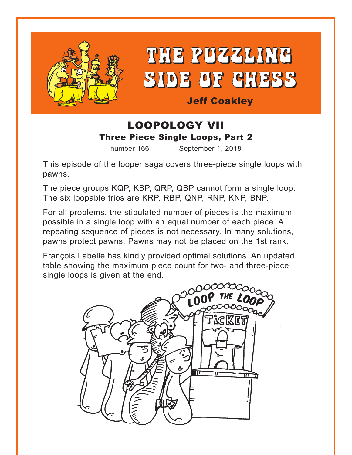

THE PUZZLING SIDE OF CHESS

Jeff Coakley

### LOOPOLOGY VII Three Piece Single Loops, Part 2

number 166 September 1, 2018

This episode of the looper saga covers three-piece single loops with pawns.

The piece groups KQP, KBP, QRP, QBP cannot form a single loop. The six loopable trios are KRP, RBP, QNP, RNP, KNP, BNP.

For all problems, the stipulated number of pieces is the maximum possible in a single loop with an equal number of each piece. A repeating sequence of pieces is not necessary. In many solutions, pawns protect pawns. Pawns may not be placed on the 1st rank.

François Labelle has kindly provided optimal solutions. An updated table showing the maximum piece count for two- and three-piece single loops is given at the end.

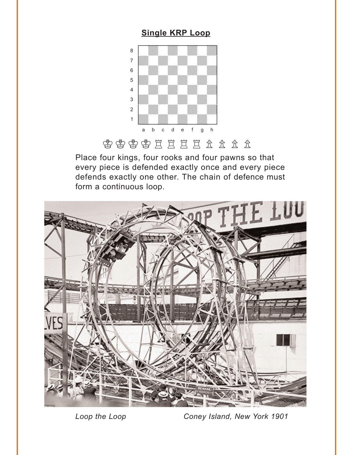### **Single KRP Loop**

<span id="page-1-0"></span>

含含含义是三重的方式

Place four kings, four rooks and four pawns so that every piece is defended exactly once and every piece defends exactly one other. The chain of defence must form a continuous loop.



*Loop the Loop Coney Island, New York 1901*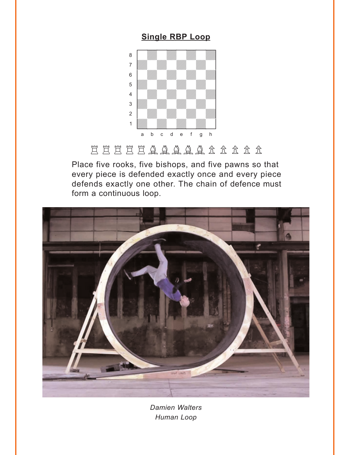#### **Single RBP Loop**

<span id="page-2-0"></span>

# EEEEEAAAAA RRRR

Place five rooks, five bishops, and five pawns so that every piece is defended exactly once and every piece defends exactly one other. The chain of defence must form a continuous loop.



*Damien Walters Human Loop*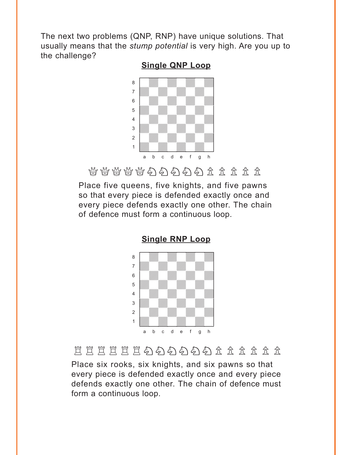<span id="page-3-0"></span>The next two problems (QNP, RNP) have unique solutions. That usually means that the *stump potential* is very high. Are you up to the challenge?

#### **Single QNP Loop**



 $\mathbb{C}^d_0\cong\mathbb{C}^d_1\cong\mathbb{C}^d_2\cong\mathbb{C}^d_3\subset\mathbb{C}^d_4\subset\mathbb{C}^d_5\subset\mathbb{C}^d_5$ 

Place five queens, five knights, and five pawns so that every piece is defended exactly once and every piece defends exactly one other. The chain of defence must form a continuous loop.



**Single RNP Loop**

### 買買買買買的あああああ金金金金金金

Place six rooks, six knights, and six pawns so that every piece is defended exactly once and every piece defends exactly one other. The chain of defence must form a continuous loop.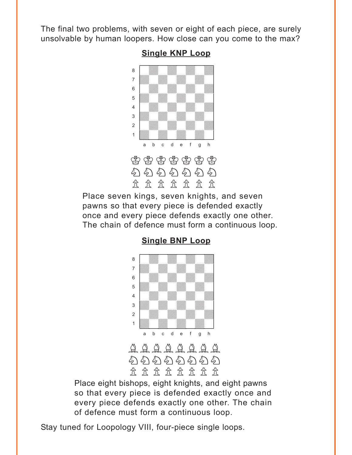<span id="page-4-0"></span>The final two problems, with seven or eight of each piece, are surely unsolvable by human loopers. How close can you come to the max?



#### **Single KNP Loop**

Place seven kings, seven knights, and seven pawns so that every piece is defended exactly once and every piece defends exactly one other. The chain of defence must form a continuous loop.



### Place eight bishops, eight knights, and eight pawns so that every piece is defended exactly once and every piece defends exactly one other. The chain of defence must form a continuous loop.

Stay tuned for Loopology VIII, four-piece single loops.

#### **[Single BNP](#page-8-0) Loop**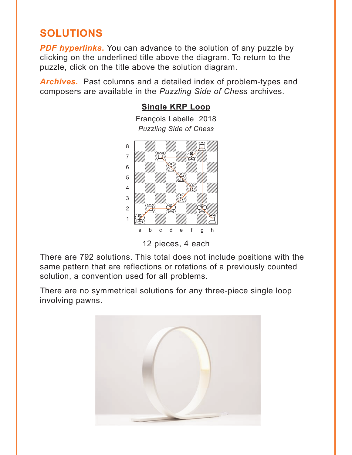# <span id="page-5-0"></span>**SOLUTIONS**

**PDF hyperlinks.** You can advance to the solution of any puzzle by clicking on the underlined title above the diagram. To return to the puzzle, click on the title above the solution diagram.

*Archives***.** Past columns and a detailed index of problem-types and composers are available in the *Puzzling Side of Chess* archives.

# **[Single KRP](#page-1-0) Loop**

François Labelle 2018 *Puzzling Side of Chess* where  $\frac{1}{2}$  and  $\frac{1}{2}$  and  $\frac{1}{2}$ 



12 pieces, 4 each

There are 792 solutions. This total does not include positions with the same pattern that are reflections or rotations of a previously counted solution, a convention used for all problems.

There are no symmetrical solutions for any three-piece single loop involving pawns.

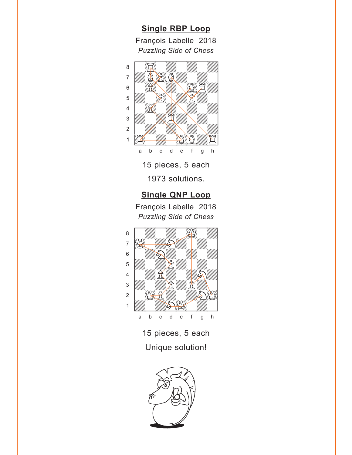<span id="page-6-0"></span>**[Single RBP](#page-2-0) Loop** François Labelle 2018 *Puzzling Side of Chess* w\_\_\_\_\_\_\_\_w



15 pieces, 5 each 1973 solutions.

### **[Single QNP](#page-3-0) Loop**

Puzzling Side of Chess<br>———————————————————— François Labelle 2018



15 pieces, 5 each Unique solution!

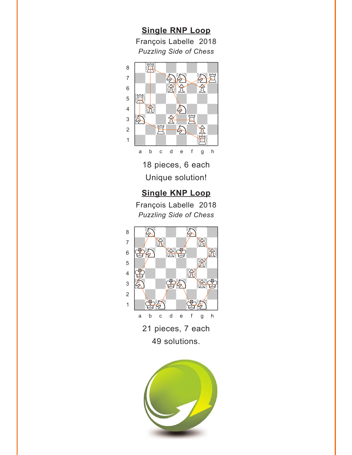<span id="page-7-0"></span>**[Single RNP](#page-3-0) Loop** François Labelle 2018 *Puzzling Side of Chess* w\_\_\_\_\_\_\_\_w



18 pieces, 6 each Unique solution!

### **[Single KNP](#page-4-0) Loop**

François Labelle 2018 *Puzzling Side of Chess*



21 pieces, 7 each 49 solutions.